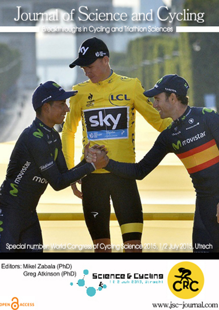## Journal of Science and Cycling

Breakthroughs in Cycling and Triathlon Sciences



Editors: Mikel Zabala (PhD) Greg Atkinson (PhD)

OPEN CACCESS





www.jsc-journal.com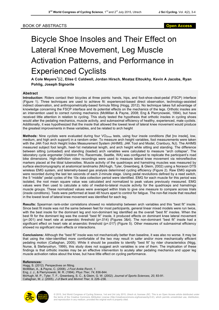## BOOK OF ABSTRACTS **Open Access**

## Bicycle Shoe Insoles and Their Effect on Lateral Knee Movement, Leg Muscle Activation Patterns, and Performance in Experienced Cyclists

**A Cole Meyers<sup>1</sup>** \***, Elise C Caldwell, Jordan Hirsch, Moataz Eltoukhy, Kevin A Jacobs, Ryan Pohlig, Joseph Signorile**

## **Abstract**

**Introduction:** Riders contact their bicycles at three points: hands, hips, and foot-shoe-cleat-pedal (FSCP) interface (Figure 1). Three techniques are used to achieve fit: experienced-based direct observation, technology-assisted indirect observation, and anthropometrically-based formula fitting (Hogg, 2012). No technique takes full advantage of knowledge concerning the FSCP interface and its potential effects on the mechanics of the legs. Orthotic insoles are an intervention used to correct running mechanics (McMillan & Payne, 2008; Eng & Pierrynowski, 1994), but have received little attention in relation to cycling. This study tested the hypothesis that orthotic insoles in cycling shoes would alter the pedaling mechanics, muscle activity, and submaximal efficiency of healthy, experienced, male cyclists. Additionally, it was hypothesized that the insole that allowed the lowest level of lateral knee movement would produce the greatest improvements in these variables, and be related to arch height

**Methods:** Nine cyclists were evaluated during four VO2max tests, using four insole conditions (flat [no insole], low, medium, and high arch support) in a random order. To measure arch height variables, foot measurements were taken with the JAK-Tool Arch Height Index Measurement System (AHIMS; JAK Tool and Model, Cranbury, NJ). The AHIMS measured subject foot length, heel-1st metatarsal length, and arch height while sitting and standing. The difference between sitting (unloaded) and standing (loaded) arch variables were calculated to measure "arch collapse". The laboratory cycle ergometer (Velotron Pro, Racermate, Seattle, WA) was configured to replicate the participant's road bike dimensions. High-definition video recordings were used to measure lateral knee movement via retroreflective markers placed at the tibial tuberosities. Muscle activity of the quadriceps and hamstring muscles was measured by surface electromyography at anatomical landmarks (McHugh, Tyler, Greenberg, & Gleim, 2002) using a Noraxon DTS wireless EMG system, and telemetry-based gas analysis determined cycling efficiency (Figure 2). Raw EMG signals were recorded during the last ten seconds of each 2-minute stage. Using pedal revolutions defined by a reed switch, the 5 "middle" pedal cycles of the 10s data collection period were identified. EMG for each muscle for this period was isolated, the root mean square value was calculated and normalized to peak values previously measured. EMG values were then used to calculate a ratio of medial-to-lateral muscle activity for the quadriceps and hamstrings muscle groups. These normalized values were averaged within trials to give one measure to compare across trials (insole conditions). Tests were performed at least 48 hours apart to control for fatigue. The non-flat insole that resulted in the lowest level of lateral knee movement was identified for each leg.

**Results:** Spearman rank-order correlations showed no relationship between arch variables and this "best fit" insole. Since best fit insole was not the same between feet for most participants, general linear mixed models were run twice, with the best insole for the dominant leg and non-dominant leg identified as the overall "best fit" insoles. When the best fit for the dominant leg was the overall "best fit" insole, it produced effects on dominant knee lateral movement (p=.001) and heart rate at anaerobic threshold (p=.014) (Figures 3&4). The non-dominant "best fit" insole had a significant effect on heart rate at anaerobic threshold (p=.017) (Figure 5). Other measures of submaximal efficiency showed no significant main effects or interactions.

**Conclusions:** Although the "best fit" insole was not mechanically better than baseline, it was also no worse. It may be that using the rider-identified more comfortable of the two may result in safer and/or more mechanically efficient pedaling motion (Callaghan, 2005). While it should be possible to identify "best fit" by rider characteristics (Nigg, Nurse, & Stefanyshyn, 1999), this study does not suggest arch variables is one of them. The implication of these findings is that orthotic insoles may be an effective intervention to acutely alter pedaling mechanics and upper leg muscle activation ratios about the knee, but have little effect on cycling performance.

**References:** Hogg, S. (2012). Perspectives on fitting. McMillan, A., & Payne, C. (2008). *J Foot Ankle Rsrch, 1.* Eng, J. J., & Pierrynowski, M. R. (1994). *Phys Ther, 74*, 836-844. McHugh, M. P., Tyler, T. F., Greenberg, S. C., & Gleim, G. W. (2002). *Journal of Sports Sciences, 20,* 83-91. Callaghan, M. J. (2005). *J of Bwrk and Mvmnt Ther*, *9,* 226–236.